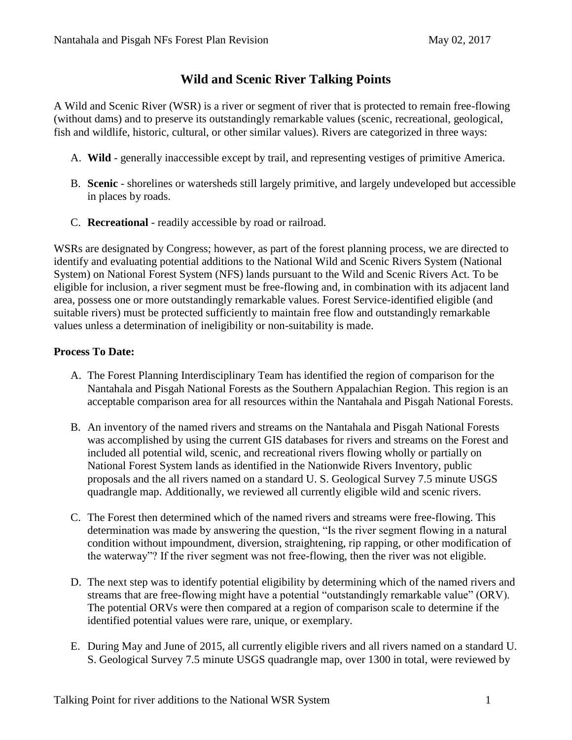# **Wild and Scenic River Talking Points**

A Wild and Scenic River (WSR) is a river or segment of river that is protected to remain free-flowing (without dams) and to preserve its outstandingly remarkable values (scenic, recreational, geological, fish and wildlife, historic, cultural, or other similar values). Rivers are categorized in three ways:

- A. **Wild** generally inaccessible except by trail, and representing vestiges of primitive America.
- B. **Scenic** shorelines or watersheds still largely primitive, and largely undeveloped but accessible in places by roads.
- C. **Recreational** readily accessible by road or railroad.

WSRs are designated by Congress; however, as part of the forest planning process, we are directed to identify and evaluating potential additions to the National Wild and Scenic Rivers System (National System) on National Forest System (NFS) lands pursuant to the Wild and Scenic Rivers Act. To be eligible for inclusion, a river segment must be free-flowing and, in combination with its adjacent land area, possess one or more outstandingly remarkable values. Forest Service-identified eligible (and suitable rivers) must be protected sufficiently to maintain free flow and outstandingly remarkable values unless a determination of ineligibility or non-suitability is made.

### **Process To Date:**

- A. The Forest Planning Interdisciplinary Team has identified the region of comparison for the Nantahala and Pisgah National Forests as the Southern Appalachian Region. This region is an acceptable comparison area for all resources within the Nantahala and Pisgah National Forests.
- B. An inventory of the named rivers and streams on the Nantahala and Pisgah National Forests was accomplished by using the current GIS databases for rivers and streams on the Forest and included all potential wild, scenic, and recreational rivers flowing wholly or partially on National Forest System lands as identified in the Nationwide Rivers Inventory, public proposals and the all rivers named on a standard U. S. Geological Survey 7.5 minute USGS quadrangle map. Additionally, we reviewed all currently eligible wild and scenic rivers.
- C. The Forest then determined which of the named rivers and streams were free-flowing. This determination was made by answering the question, "Is the river segment flowing in a natural condition without impoundment, diversion, straightening, rip rapping, or other modification of the waterway"? If the river segment was not free-flowing, then the river was not eligible.
- D. The next step was to identify potential eligibility by determining which of the named rivers and streams that are free-flowing might have a potential "outstandingly remarkable value" (ORV). The potential ORVs were then compared at a region of comparison scale to determine if the identified potential values were rare, unique, or exemplary.
- E. During May and June of 2015, all currently eligible rivers and all rivers named on a standard U. S. Geological Survey 7.5 minute USGS quadrangle map, over 1300 in total, were reviewed by